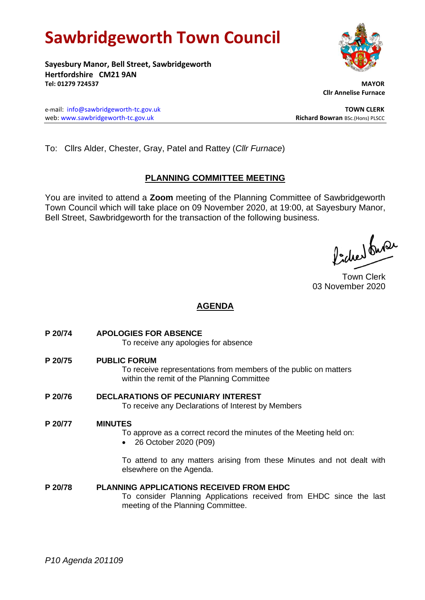# **Sawbridgeworth Town Council**

**Sayesbury Manor, Bell Street, Sawbridgeworth Hertfordshire CM21 9AN Tel: 01279 724537 MAYOR**

e-mail: [info@sawbridgeworth-tc.gov.uk](mailto:info@sawbridgeworth-tc.gov.uk) **TOWN CLERK** web: www.sawbridgeworth-tc.gov.uk<br> **Richard Bowran** BSc.(Hons) PLSCC

 **Cllr Annelise Furnace**

To: Cllrs Alder, Chester, Gray, Patel and Rattey (*Cllr Furnace*)

# **PLANNING COMMITTEE MEETING**

You are invited to attend a **Zoom** meeting of the Planning Committee of Sawbridgeworth Town Council which will take place on 09 November 2020, at 19:00, at Sayesbury Manor, Bell Street, Sawbridgeworth for the transaction of the following business.

fideer fuse

Town Clerk 03 November 2020

# **AGENDA**

- **P 20/74 APOLOGIES FOR ABSENCE** To receive any apologies for absence
- **P 20/75 PUBLIC FORUM** To receive representations from members of the public on matters within the remit of the Planning Committee
- **P 20/76 DECLARATIONS OF PECUNIARY INTEREST** To receive any Declarations of Interest by Members

# **P 20/77 MINUTES**

To approve as a correct record the minutes of the Meeting held on:

• 26 October 2020 (P09)

To attend to any matters arising from these Minutes and not dealt with elsewhere on the Agenda.

**P 20/78 PLANNING APPLICATIONS RECEIVED FROM EHDC** To consider Planning Applications received from EHDC since the last meeting of the Planning Committee.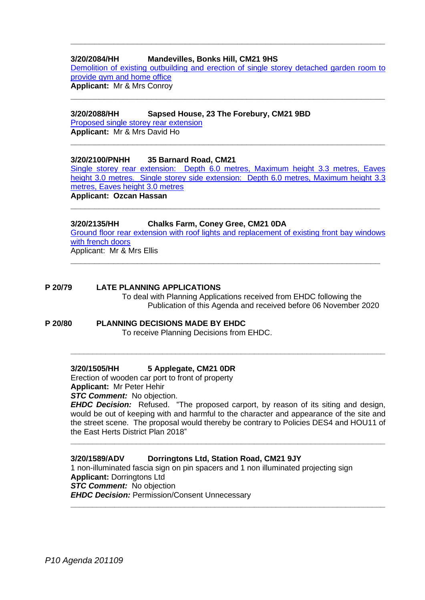#### **3/20/2084/HH Mandevilles, Bonks Hill, CM21 9HS**

Demolition of existing outbuilding [and erection of single storey detached garden room to](https://publicaccess.eastherts.gov.uk/online-applications/applicationDetails.do?activeTab=documents&keyVal=QINTRFGLJ3R00)  [provide gym and home office](https://publicaccess.eastherts.gov.uk/online-applications/applicationDetails.do?activeTab=documents&keyVal=QINTRFGLJ3R00) **Applicant:** Mr & Mrs Conroy

**\_\_\_\_\_\_\_\_\_\_\_\_\_\_\_\_\_\_\_\_\_\_\_\_\_\_\_\_\_\_\_\_\_\_\_\_\_\_\_\_\_\_\_\_\_\_\_\_\_\_\_\_\_\_\_\_\_\_\_\_\_\_\_\_\_\_**

**\_\_\_\_\_\_\_\_\_\_\_\_\_\_\_\_\_\_\_\_\_\_\_\_\_\_\_\_\_\_\_\_\_\_\_\_\_\_\_\_\_\_\_\_\_\_\_\_\_\_\_\_\_\_\_\_\_\_\_\_\_\_\_\_\_\_**

**3/20/2088/HH Sapsed House, 23 The Forebury, CM21 9BD**

[Proposed single storey rear extension](https://publicaccess.eastherts.gov.uk/online-applications/applicationDetails.do?activeTab=documents&keyVal=QIP271GLJ4000) **Applicant:** Mr & Mrs David Ho

## **3/20/2100/PNHH 35 Barnard Road, CM21**

[Single storey rear extension: Depth 6.0 metres, Maximum height 3.3 metres, Eaves](https://publicaccess.eastherts.gov.uk/online-applications/applicationDetails.do?activeTab=documents&keyVal=QIUQRBGL00X00)  [height 3.0 metres. Single storey side extension: Depth 6.0 metres, Maximum height 3.3](https://publicaccess.eastherts.gov.uk/online-applications/applicationDetails.do?activeTab=documents&keyVal=QIUQRBGL00X00)  [metres, Eaves height 3.0 metres](https://publicaccess.eastherts.gov.uk/online-applications/applicationDetails.do?activeTab=documents&keyVal=QIUQRBGL00X00)

**\_\_\_\_\_\_\_\_\_\_\_\_\_\_\_\_\_\_\_\_\_\_\_\_\_\_\_\_\_\_\_\_\_\_\_\_\_\_\_\_\_\_\_\_\_\_\_\_\_\_\_\_\_\_\_\_\_\_\_\_\_\_\_\_\_**

**\_\_\_\_\_\_\_\_\_\_\_\_\_\_\_\_\_\_\_\_\_\_\_\_\_\_\_\_\_\_\_\_\_\_\_\_\_\_\_\_\_\_\_\_\_\_\_\_\_\_\_\_\_\_\_\_\_\_\_\_\_\_\_\_\_\_**

**Applicant: Ozcan Hassan**

## **3/20/2135/HH Chalks Farm, Coney Gree, CM21 0DA**

[Ground floor rear extension with roof lights and replacement of existing front bay windows](https://publicaccess.eastherts.gov.uk/online-applications/applicationDetails.do?activeTab=documents&keyVal=QJ0K1NGLJ7C00)  [with french doors](https://publicaccess.eastherts.gov.uk/online-applications/applicationDetails.do?activeTab=documents&keyVal=QJ0K1NGLJ7C00)

**\_\_\_\_\_\_\_\_\_\_\_\_\_\_\_\_\_\_\_\_\_\_\_\_\_\_\_\_\_\_\_\_\_\_\_\_\_\_\_\_\_\_\_\_\_\_\_\_\_\_\_\_\_\_\_\_\_\_\_\_\_\_\_\_\_**

Applicant: Mr & Mrs Ellis

## **P 20/79 LATE PLANNING APPLICATIONS**

To deal with Planning Applications received from EHDC following the Publication of this Agenda and received before 06 November 2020

# **P 20/80 PLANNING DECISIONS MADE BY EHDC**

To receive Planning Decisions from EHDC.

#### **3/20/1505/HH 5 Applegate, CM21 0DR**

Erection of wooden car port to front of property **Applicant:** Mr Peter Hehir *STC Comment:* No objection.

*EHDC Decision:* Refused. "The proposed carport, by reason of its siting and design, would be out of keeping with and harmful to the character and appearance of the site and the street scene. The proposal would thereby be contrary to Policies DES4 and HOU11 of the East Herts District Plan 2018"

**\_\_\_\_\_\_\_\_\_\_\_\_\_\_\_\_\_\_\_\_\_\_\_\_\_\_\_\_\_\_\_\_\_\_\_\_\_\_\_\_\_\_\_\_\_\_\_\_\_\_\_\_\_\_\_\_\_\_\_\_\_\_\_\_\_\_\_\_\_\_\_\_**

**\_\_\_\_\_\_\_\_\_\_\_\_\_\_\_\_\_\_\_\_\_\_\_\_\_\_\_\_\_\_\_\_\_\_\_\_\_\_\_\_\_\_\_\_\_\_\_\_\_\_\_\_\_\_\_\_\_\_\_\_\_\_\_\_\_\_\_\_\_\_\_\_**

**\_\_\_\_\_\_\_\_\_\_\_\_\_\_\_\_\_\_\_\_\_\_\_\_\_\_\_\_\_\_\_\_\_\_\_\_\_\_\_\_\_\_\_\_\_\_\_\_\_\_\_\_\_\_\_\_\_\_\_\_\_\_\_\_\_\_\_\_\_\_\_\_**

#### **3/20/1589/ADV Dorringtons Ltd, Station Road, CM21 9JY**

1 non-illuminated fascia sign on pin spacers and 1 non illuminated projecting sign **Applicant:** Dorringtons Ltd *STC Comment:* No objection *EHDC Decision:* Permission/Consent Unnecessary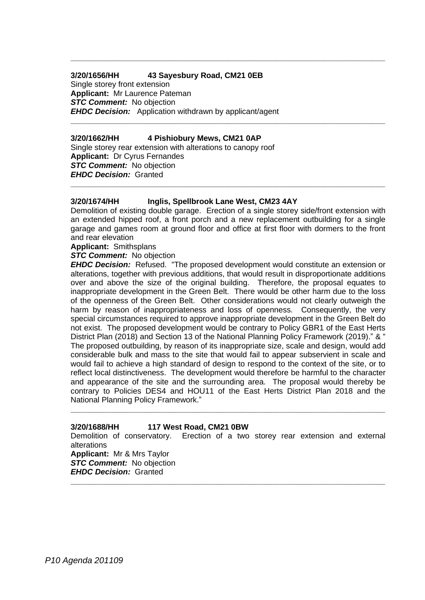# **3/20/1656/HH 43 Sayesbury Road, CM21 0EB**

Single storey front extension **Applicant:** Mr Laurence Pateman *STC Comment:* No objection *EHDC Decision:* Application withdrawn by applicant/agent

#### **3/20/1662/HH 4 Pishiobury Mews, CM21 0AP**

Single storey rear extension with alterations to canopy roof **Applicant:** Dr Cyrus Fernandes *STC Comment:* No objection *EHDC Decision:* Granted

#### **3/20/1674/HH Inglis, Spellbrook Lane West, CM23 4AY**

Demolition of existing double garage. Erection of a single storey side/front extension with an extended hipped roof, a front porch and a new replacement outbuilding for a single garage and games room at ground floor and office at first floor with dormers to the front and rear elevation

**\_\_\_\_\_\_\_\_\_\_\_\_\_\_\_\_\_\_\_\_\_\_\_\_\_\_\_\_\_\_\_\_\_\_\_\_\_\_\_\_\_\_\_\_\_\_\_\_\_\_\_\_\_\_\_\_\_\_\_\_\_\_\_\_\_\_\_\_\_\_\_\_**

**\_\_\_\_\_\_\_\_\_\_\_\_\_\_\_\_\_\_\_\_\_\_\_\_\_\_\_\_\_\_\_\_\_\_\_\_\_\_\_\_\_\_\_\_\_\_\_\_\_\_\_\_\_\_\_\_\_\_\_\_\_\_\_\_\_\_\_\_\_\_\_\_**

**\_\_\_\_\_\_\_\_\_\_\_\_\_\_\_\_\_\_\_\_\_\_\_\_\_\_\_\_\_\_\_\_\_\_\_\_\_\_\_\_\_\_\_\_\_\_\_\_\_\_\_\_\_\_\_\_\_\_\_\_\_\_\_\_\_\_\_\_\_\_\_\_**

**Applicant:** Smithsplans

#### *STC Comment:* No objection

*EHDC Decision:* Refused. "The proposed development would constitute an extension or alterations, together with previous additions, that would result in disproportionate additions over and above the size of the original building. Therefore, the proposal equates to inappropriate development in the Green Belt. There would be other harm due to the loss of the openness of the Green Belt. Other considerations would not clearly outweigh the harm by reason of inappropriateness and loss of openness. Consequently, the very special circumstances required to approve inappropriate development in the Green Belt do not exist. The proposed development would be contrary to Policy GBR1 of the East Herts District Plan (2018) and Section 13 of the National Planning Policy Framework (2019)." & " The proposed outbuilding, by reason of its inappropriate size, scale and design, would add considerable bulk and mass to the site that would fail to appear subservient in scale and would fail to achieve a high standard of design to respond to the context of the site, or to reflect local distinctiveness. The development would therefore be harmful to the character and appearance of the site and the surrounding area. The proposal would thereby be contrary to Policies DES4 and HOU11 of the East Herts District Plan 2018 and the National Planning Policy Framework."

#### **3/20/1688/HH 117 West Road, CM21 0BW**

Demolition of conservatory. Erection of a two storey rear extension and external alterations

**\_\_\_\_\_\_\_\_\_\_\_\_\_\_\_\_\_\_\_\_\_\_\_\_\_\_\_\_\_\_\_\_\_\_\_\_\_\_\_\_\_\_\_\_\_\_\_\_\_\_\_\_\_\_\_\_\_\_\_\_\_\_\_\_\_\_\_\_\_\_\_\_**

**\_\_\_\_\_\_\_\_\_\_\_\_\_\_\_\_\_\_\_\_\_\_\_\_\_\_\_\_\_\_\_\_\_\_\_\_\_\_\_\_\_\_\_\_\_\_\_\_\_\_\_\_\_\_\_\_\_\_\_\_\_\_\_\_\_\_\_\_\_\_\_\_**

**Applicant:** Mr & Mrs Taylor **STC Comment:** No objection *EHDC Decision:* Granted